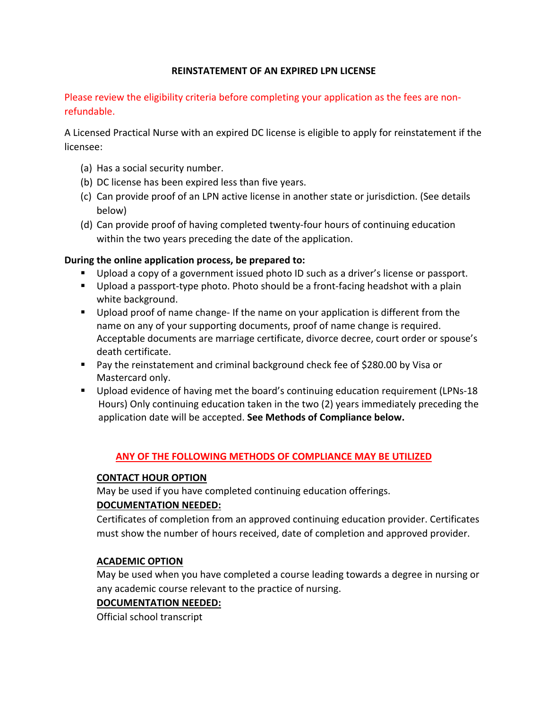## **REINSTATEMENT OF AN EXPIRED LPN LICENSE**

Please review the eligibility criteria before completing your application as the fees are non‐ refundable.

A Licensed Practical Nurse with an expired DC license is eligible to apply for reinstatement if the licensee:

- (a) Has a social security number.
- (b) DC license has been expired less than five years.
- (c) Can provide proof of an LPN active license in another state or jurisdiction. (See details below)
- (d) Can provide proof of having completed twenty‐four hours of continuing education within the two years preceding the date of the application.

## **During the online application process, be prepared to:**

- Upload a copy of a government issued photo ID such as a driver's license or passport.
- Upload a passport-type photo. Photo should be a front-facing headshot with a plain white background.
- Upload proof of name change- If the name on your application is different from the name on any of your supporting documents, proof of name change is required. Acceptable documents are marriage certificate, divorce decree, court order or spouse's death certificate.
- Pay the reinstatement and criminal background check fee of \$280.00 by Visa or Mastercard only.
- Upload evidence of having met the board's continuing education requirement (LPNs-18 Hours) Only continuing education taken in the two (2) years immediately preceding the application date will be accepted. **See Methods of Compliance below.**

#### **ANY OF THE FOLLOWING METHODS OF COMPLIANCE MAY BE UTILIZED**

### **CONTACT HOUR OPTION**

May be used if you have completed continuing education offerings.

## **DOCUMENTATION NEEDED:**

Certificates of completion from an approved continuing education provider. Certificates must show the number of hours received, date of completion and approved provider.

#### **ACADEMIC OPTION**

May be used when you have completed a course leading towards a degree in nursing or any academic course relevant to the practice of nursing.

#### **DOCUMENTATION NEEDED:**

Official school transcript